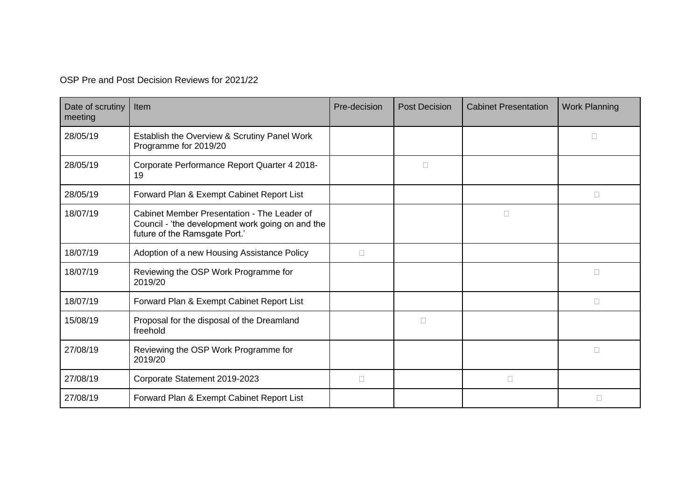OSP Pre and Post Decision Reviews for 2021/22

| Date of scrutiny<br>meeting | Item                                                                                                                             | Pre-decision | <b>Post Decision</b> | <b>Cabinet Presentation</b> | <b>Work Planning</b> |
|-----------------------------|----------------------------------------------------------------------------------------------------------------------------------|--------------|----------------------|-----------------------------|----------------------|
| 28/05/19                    | Establish the Overview & Scrutiny Panel Work<br>Programme for 2019/20                                                            |              |                      |                             |                      |
| 28/05/19                    | Corporate Performance Report Quarter 4 2018-<br>19                                                                               |              | $\Box$               |                             |                      |
| 28/05/19                    | Forward Plan & Exempt Cabinet Report List                                                                                        |              |                      |                             | □                    |
| 18/07/19                    | Cabinet Member Presentation - The Leader of<br>Council - 'the development work going on and the<br>future of the Ramsgate Port.' |              |                      | □                           |                      |
| 18/07/19                    | Adoption of a new Housing Assistance Policy                                                                                      | $\Box$       |                      |                             |                      |
| 18/07/19                    | Reviewing the OSP Work Programme for<br>2019/20                                                                                  |              |                      |                             | □                    |
| 18/07/19                    | Forward Plan & Exempt Cabinet Report List                                                                                        |              |                      |                             | $\Box$               |
| 15/08/19                    | Proposal for the disposal of the Dreamland<br>freehold                                                                           |              | $\Box$               |                             |                      |
| 27/08/19                    | Reviewing the OSP Work Programme for<br>2019/20                                                                                  |              |                      |                             | П                    |
| 27/08/19                    | Corporate Statement 2019-2023                                                                                                    | $\Box$       |                      | $\Box$                      |                      |
| 27/08/19                    | Forward Plan & Exempt Cabinet Report List                                                                                        |              |                      |                             | П                    |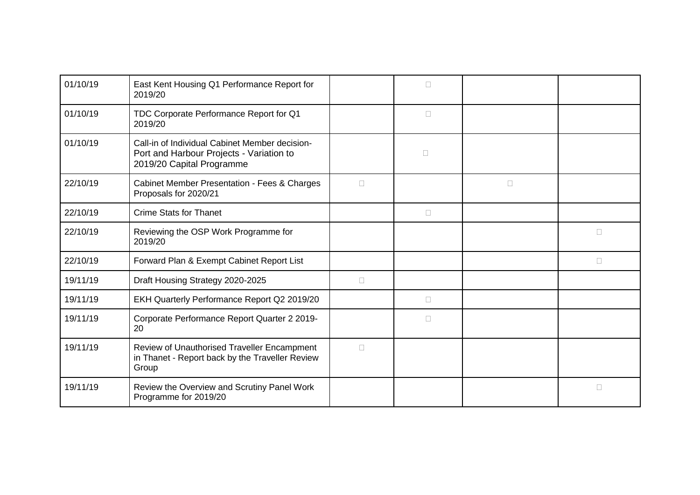| 01/10/19 | East Kent Housing Q1 Performance Report for<br>2019/20                                                                  |        | П      |        |        |
|----------|-------------------------------------------------------------------------------------------------------------------------|--------|--------|--------|--------|
| 01/10/19 | TDC Corporate Performance Report for Q1<br>2019/20                                                                      |        | $\Box$ |        |        |
| 01/10/19 | Call-in of Individual Cabinet Member decision-<br>Port and Harbour Projects - Variation to<br>2019/20 Capital Programme |        | $\Box$ |        |        |
| 22/10/19 | <b>Cabinet Member Presentation - Fees &amp; Charges</b><br>Proposals for 2020/21                                        | $\Box$ |        | $\Box$ |        |
| 22/10/19 | <b>Crime Stats for Thanet</b>                                                                                           |        | $\Box$ |        |        |
| 22/10/19 | Reviewing the OSP Work Programme for<br>2019/20                                                                         |        |        |        | $\Box$ |
| 22/10/19 | Forward Plan & Exempt Cabinet Report List                                                                               |        |        |        | $\Box$ |
| 19/11/19 | Draft Housing Strategy 2020-2025                                                                                        | П      |        |        |        |
| 19/11/19 | EKH Quarterly Performance Report Q2 2019/20                                                                             |        | $\Box$ |        |        |
| 19/11/19 | Corporate Performance Report Quarter 2 2019-<br>20                                                                      |        | П      |        |        |
| 19/11/19 | Review of Unauthorised Traveller Encampment<br>in Thanet - Report back by the Traveller Review<br>Group                 | $\Box$ |        |        |        |
| 19/11/19 | Review the Overview and Scrutiny Panel Work<br>Programme for 2019/20                                                    |        |        |        | $\Box$ |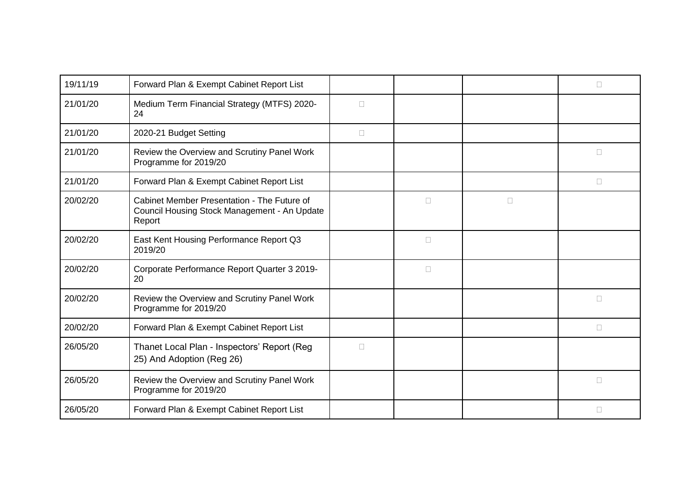| 19/11/19 | Forward Plan & Exempt Cabinet Report List                                                             |        |        |        | П      |
|----------|-------------------------------------------------------------------------------------------------------|--------|--------|--------|--------|
| 21/01/20 | Medium Term Financial Strategy (MTFS) 2020-<br>24                                                     | $\Box$ |        |        |        |
| 21/01/20 | 2020-21 Budget Setting                                                                                | $\Box$ |        |        |        |
| 21/01/20 | Review the Overview and Scrutiny Panel Work<br>Programme for 2019/20                                  |        |        |        | П      |
| 21/01/20 | Forward Plan & Exempt Cabinet Report List                                                             |        |        |        | П      |
| 20/02/20 | Cabinet Member Presentation - The Future of<br>Council Housing Stock Management - An Update<br>Report |        | $\Box$ | $\Box$ |        |
| 20/02/20 | East Kent Housing Performance Report Q3<br>2019/20                                                    |        | $\Box$ |        |        |
| 20/02/20 | Corporate Performance Report Quarter 3 2019-<br>20                                                    |        | П      |        |        |
| 20/02/20 | Review the Overview and Scrutiny Panel Work<br>Programme for 2019/20                                  |        |        |        | $\Box$ |
| 20/02/20 | Forward Plan & Exempt Cabinet Report List                                                             |        |        |        | П      |
| 26/05/20 | Thanet Local Plan - Inspectors' Report (Reg<br>25) And Adoption (Reg 26)                              | $\Box$ |        |        |        |
| 26/05/20 | Review the Overview and Scrutiny Panel Work<br>Programme for 2019/20                                  |        |        |        | $\Box$ |
| 26/05/20 | Forward Plan & Exempt Cabinet Report List                                                             |        |        |        | $\Box$ |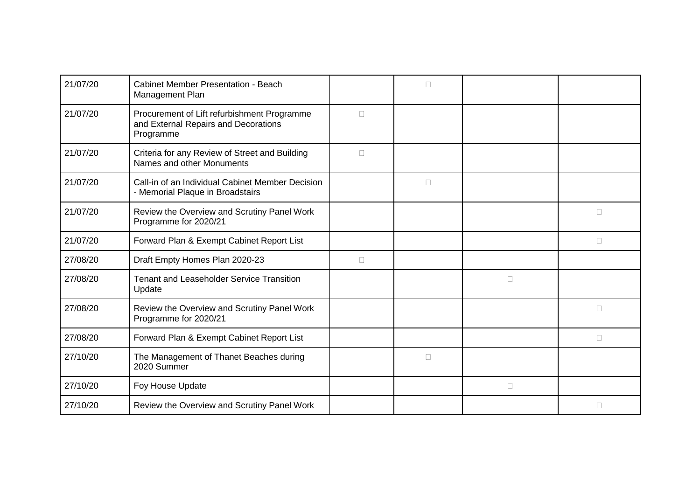| 21/07/20 | <b>Cabinet Member Presentation - Beach</b><br>Management Plan                                    |        | П      |        |        |
|----------|--------------------------------------------------------------------------------------------------|--------|--------|--------|--------|
| 21/07/20 | Procurement of Lift refurbishment Programme<br>and External Repairs and Decorations<br>Programme | $\Box$ |        |        |        |
| 21/07/20 | Criteria for any Review of Street and Building<br>Names and other Monuments                      | $\Box$ |        |        |        |
| 21/07/20 | Call-in of an Individual Cabinet Member Decision<br>- Memorial Plaque in Broadstairs             |        | $\Box$ |        |        |
| 21/07/20 | Review the Overview and Scrutiny Panel Work<br>Programme for 2020/21                             |        |        |        | $\Box$ |
| 21/07/20 | Forward Plan & Exempt Cabinet Report List                                                        |        |        |        | $\Box$ |
| 27/08/20 | Draft Empty Homes Plan 2020-23                                                                   | $\Box$ |        |        |        |
| 27/08/20 | <b>Tenant and Leaseholder Service Transition</b><br>Update                                       |        |        | $\Box$ |        |
| 27/08/20 | Review the Overview and Scrutiny Panel Work<br>Programme for 2020/21                             |        |        |        | П      |
| 27/08/20 | Forward Plan & Exempt Cabinet Report List                                                        |        |        |        | $\Box$ |
| 27/10/20 | The Management of Thanet Beaches during<br>2020 Summer                                           |        | $\Box$ |        |        |
| 27/10/20 | Foy House Update                                                                                 |        |        | $\Box$ |        |
| 27/10/20 | Review the Overview and Scrutiny Panel Work                                                      |        |        |        | $\Box$ |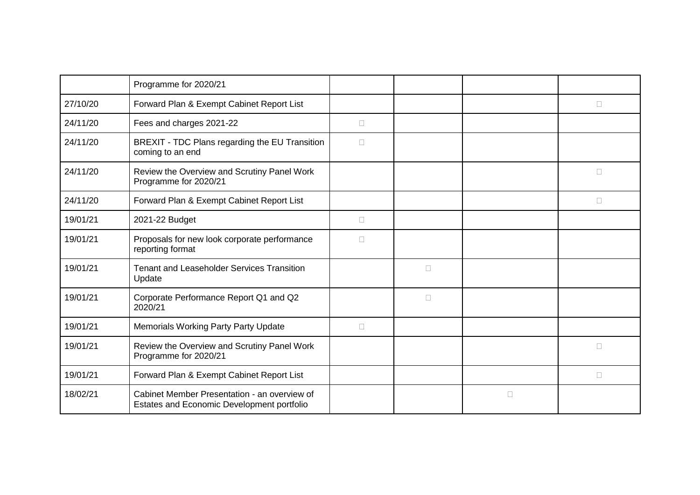|          | Programme for 2020/21                                                                      |        |        |        |        |
|----------|--------------------------------------------------------------------------------------------|--------|--------|--------|--------|
| 27/10/20 | Forward Plan & Exempt Cabinet Report List                                                  |        |        |        | $\Box$ |
| 24/11/20 | Fees and charges 2021-22                                                                   | $\Box$ |        |        |        |
| 24/11/20 | BREXIT - TDC Plans regarding the EU Transition<br>coming to an end                         | $\Box$ |        |        |        |
| 24/11/20 | Review the Overview and Scrutiny Panel Work<br>Programme for 2020/21                       |        |        |        | П      |
| 24/11/20 | Forward Plan & Exempt Cabinet Report List                                                  |        |        |        | $\Box$ |
| 19/01/21 | 2021-22 Budget                                                                             | $\Box$ |        |        |        |
| 19/01/21 | Proposals for new look corporate performance<br>reporting format                           | П      |        |        |        |
| 19/01/21 | <b>Tenant and Leaseholder Services Transition</b><br>Update                                |        | $\Box$ |        |        |
| 19/01/21 | Corporate Performance Report Q1 and Q2<br>2020/21                                          |        | $\Box$ |        |        |
| 19/01/21 | Memorials Working Party Party Update                                                       | $\Box$ |        |        |        |
| 19/01/21 | Review the Overview and Scrutiny Panel Work<br>Programme for 2020/21                       |        |        |        | $\Box$ |
| 19/01/21 | Forward Plan & Exempt Cabinet Report List                                                  |        |        |        | $\Box$ |
| 18/02/21 | Cabinet Member Presentation - an overview of<br>Estates and Economic Development portfolio |        |        | $\Box$ |        |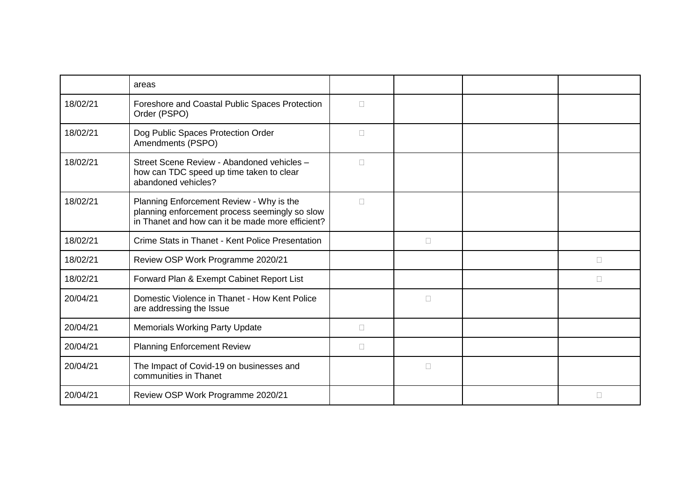|          | areas                                                                                                                                          |        |        |        |
|----------|------------------------------------------------------------------------------------------------------------------------------------------------|--------|--------|--------|
| 18/02/21 | Foreshore and Coastal Public Spaces Protection<br>Order (PSPO)                                                                                 | $\Box$ |        |        |
| 18/02/21 | Dog Public Spaces Protection Order<br>Amendments (PSPO)                                                                                        | $\Box$ |        |        |
| 18/02/21 | Street Scene Review - Abandoned vehicles -<br>how can TDC speed up time taken to clear<br>abandoned vehicles?                                  | $\Box$ |        |        |
| 18/02/21 | Planning Enforcement Review - Why is the<br>planning enforcement process seemingly so slow<br>in Thanet and how can it be made more efficient? | $\Box$ |        |        |
| 18/02/21 | Crime Stats in Thanet - Kent Police Presentation                                                                                               |        | $\Box$ |        |
| 18/02/21 | Review OSP Work Programme 2020/21                                                                                                              |        |        | $\Box$ |
| 18/02/21 | Forward Plan & Exempt Cabinet Report List                                                                                                      |        |        | П      |
| 20/04/21 | Domestic Violence in Thanet - How Kent Police<br>are addressing the Issue                                                                      |        | $\Box$ |        |
| 20/04/21 | <b>Memorials Working Party Update</b>                                                                                                          | $\Box$ |        |        |
| 20/04/21 | <b>Planning Enforcement Review</b>                                                                                                             | $\Box$ |        |        |
| 20/04/21 | The Impact of Covid-19 on businesses and<br>communities in Thanet                                                                              |        | $\Box$ |        |
| 20/04/21 | Review OSP Work Programme 2020/21                                                                                                              |        |        | П      |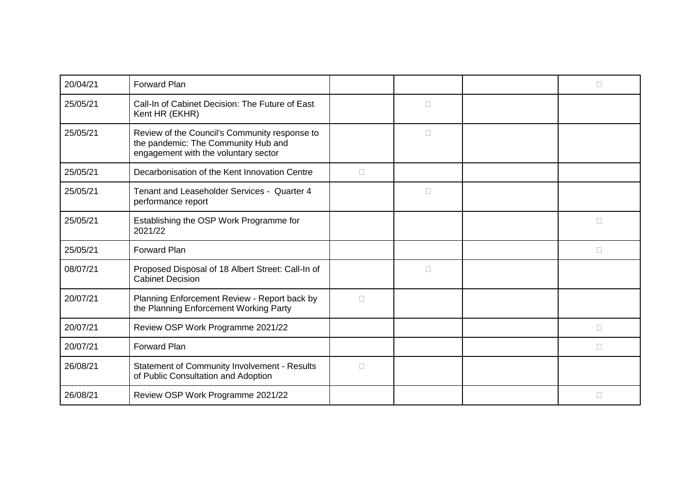| 20/04/21 | <b>Forward Plan</b>                                                                                                          |        |        | П      |
|----------|------------------------------------------------------------------------------------------------------------------------------|--------|--------|--------|
| 25/05/21 | Call-In of Cabinet Decision: The Future of East<br>Kent HR (EKHR)                                                            |        | $\Box$ |        |
| 25/05/21 | Review of the Council's Community response to<br>the pandemic: The Community Hub and<br>engagement with the voluntary sector |        | $\Box$ |        |
| 25/05/21 | Decarbonisation of the Kent Innovation Centre                                                                                | П      |        |        |
| 25/05/21 | Tenant and Leaseholder Services - Quarter 4<br>performance report                                                            |        | $\Box$ |        |
| 25/05/21 | Establishing the OSP Work Programme for<br>2021/22                                                                           |        |        | П      |
| 25/05/21 | Forward Plan                                                                                                                 |        |        | $\Box$ |
| 08/07/21 | Proposed Disposal of 18 Albert Street: Call-In of<br><b>Cabinet Decision</b>                                                 |        | $\Box$ |        |
| 20/07/21 | Planning Enforcement Review - Report back by<br>the Planning Enforcement Working Party                                       | П      |        |        |
| 20/07/21 | Review OSP Work Programme 2021/22                                                                                            |        |        | П      |
| 20/07/21 | Forward Plan                                                                                                                 |        |        | □      |
| 26/08/21 | Statement of Community Involvement - Results<br>of Public Consultation and Adoption                                          | $\Box$ |        |        |
| 26/08/21 | Review OSP Work Programme 2021/22                                                                                            |        |        | П      |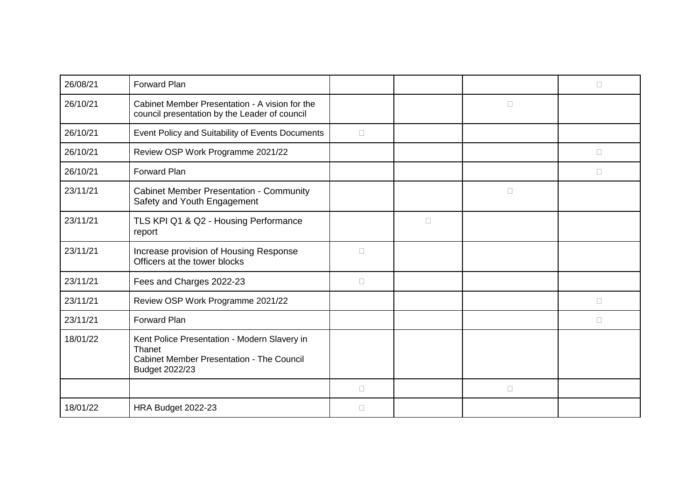| 26/08/21 | Forward Plan                                                                                                                 |        |        |        | П |
|----------|------------------------------------------------------------------------------------------------------------------------------|--------|--------|--------|---|
| 26/10/21 | Cabinet Member Presentation - A vision for the<br>council presentation by the Leader of council                              |        |        | $\Box$ |   |
| 26/10/21 | Event Policy and Suitability of Events Documents                                                                             | $\Box$ |        |        |   |
| 26/10/21 | Review OSP Work Programme 2021/22                                                                                            |        |        |        | П |
| 26/10/21 | Forward Plan                                                                                                                 |        |        |        | П |
| 23/11/21 | <b>Cabinet Member Presentation - Community</b><br>Safety and Youth Engagement                                                |        |        | $\Box$ |   |
| 23/11/21 | TLS KPI Q1 & Q2 - Housing Performance<br>report                                                                              |        | $\Box$ |        |   |
| 23/11/21 | Increase provision of Housing Response<br>Officers at the tower blocks                                                       | П      |        |        |   |
| 23/11/21 | Fees and Charges 2022-23                                                                                                     | $\Box$ |        |        |   |
| 23/11/21 | Review OSP Work Programme 2021/22                                                                                            |        |        |        | П |
| 23/11/21 | <b>Forward Plan</b>                                                                                                          |        |        |        | П |
| 18/01/22 | Kent Police Presentation - Modern Slavery in<br>Thanet<br><b>Cabinet Member Presentation - The Council</b><br>Budget 2022/23 |        |        |        |   |
|          |                                                                                                                              | $\Box$ |        | $\Box$ |   |
| 18/01/22 | HRA Budget 2022-23                                                                                                           | П      |        |        |   |